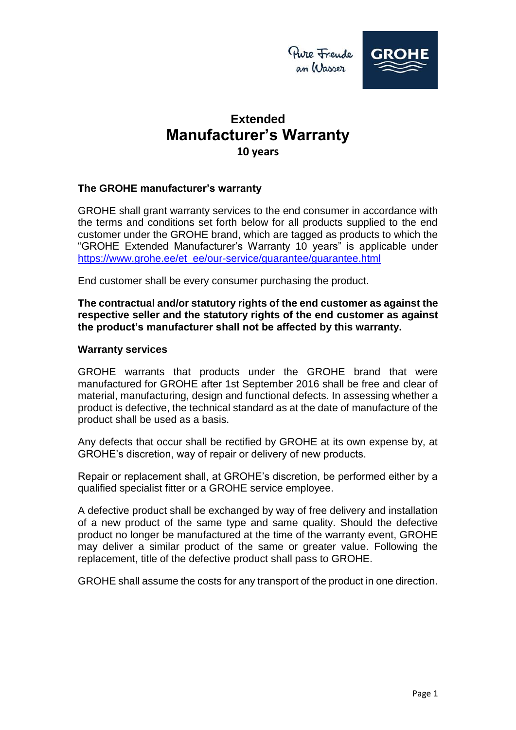

### **The GROHE manufacturer's warranty**

GROHE shall grant warranty services to the end consumer in accordance with the terms and conditions set forth below for all products supplied to the end customer under the GROHE brand, which are tagged as products to which the "GROHE Extended Manufacturer's Warranty 10 years" is applicable under [https://www.grohe.ee/et\\_ee/our-service/guarantee/guarantee.html](https://www.grohe.ee/et_ee/our-service/guarantee/guarantee.html)

End customer shall be every consumer purchasing the product.

**The contractual and/or statutory rights of the end customer as against the respective seller and the statutory rights of the end customer as against the product's manufacturer shall not be affected by this warranty.**

#### **Warranty services**

GROHE warrants that products under the GROHE brand that were manufactured for GROHE after 1st September 2016 shall be free and clear of material, manufacturing, design and functional defects. In assessing whether a product is defective, the technical standard as at the date of manufacture of the product shall be used as a basis.

Any defects that occur shall be rectified by GROHE at its own expense by, at GROHE's discretion, way of repair or delivery of new products.

Repair or replacement shall, at GROHE's discretion, be performed either by a qualified specialist fitter or a GROHE service employee.

A defective product shall be exchanged by way of free delivery and installation of a new product of the same type and same quality. Should the defective product no longer be manufactured at the time of the warranty event, GROHE may deliver a similar product of the same or greater value. Following the replacement, title of the defective product shall pass to GROHE.

GROHE shall assume the costs for any transport of the product in one direction.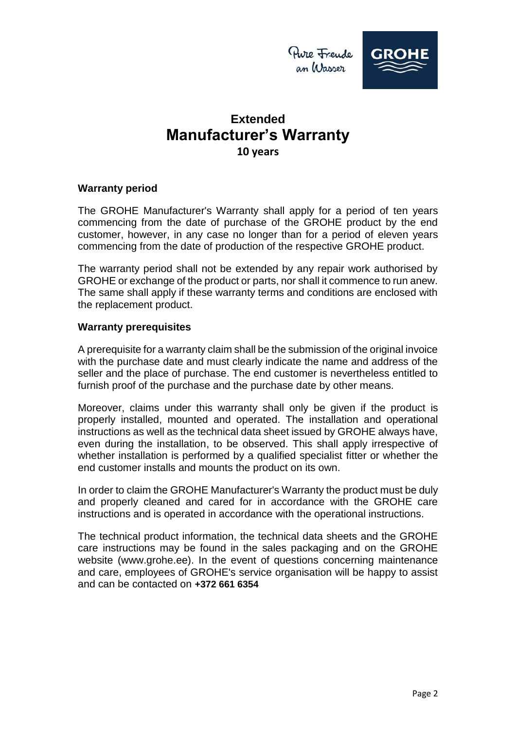



### **Warranty period**

The GROHE Manufacturer's Warranty shall apply for a period of ten years commencing from the date of purchase of the GROHE product by the end customer, however, in any case no longer than for a period of eleven years commencing from the date of production of the respective GROHE product.

The warranty period shall not be extended by any repair work authorised by GROHE or exchange of the product or parts, nor shall it commence to run anew. The same shall apply if these warranty terms and conditions are enclosed with the replacement product.

#### **Warranty prerequisites**

A prerequisite for a warranty claim shall be the submission of the original invoice with the purchase date and must clearly indicate the name and address of the seller and the place of purchase. The end customer is nevertheless entitled to furnish proof of the purchase and the purchase date by other means.

Moreover, claims under this warranty shall only be given if the product is properly installed, mounted and operated. The installation and operational instructions as well as the technical data sheet issued by GROHE always have, even during the installation, to be observed. This shall apply irrespective of whether installation is performed by a qualified specialist fitter or whether the end customer installs and mounts the product on its own.

In order to claim the GROHE Manufacturer's Warranty the product must be duly and properly cleaned and cared for in accordance with the GROHE care instructions and is operated in accordance with the operational instructions.

The technical product information, the technical data sheets and the GROHE care instructions may be found in the sales packaging and on the GROHE website (www.grohe.ee). In the event of questions concerning maintenance and care, employees of GROHE's service organisation will be happy to assist and can be contacted on **+372 661 6354**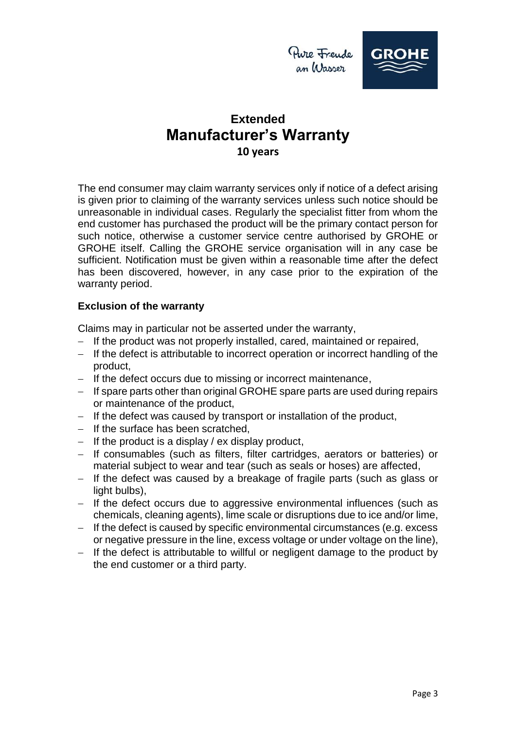



The end consumer may claim warranty services only if notice of a defect arising is given prior to claiming of the warranty services unless such notice should be unreasonable in individual cases. Regularly the specialist fitter from whom the end customer has purchased the product will be the primary contact person for such notice, otherwise a customer service centre authorised by GROHE or GROHE itself. Calling the GROHE service organisation will in any case be sufficient. Notification must be given within a reasonable time after the defect has been discovered, however, in any case prior to the expiration of the warranty period.

### **Exclusion of the warranty**

Claims may in particular not be asserted under the warranty,

- If the product was not properly installed, cared, maintained or repaired,
- If the defect is attributable to incorrect operation or incorrect handling of the product,
- If the defect occurs due to missing or incorrect maintenance,
- $-I$  If spare parts other than original GROHE spare parts are used during repairs or maintenance of the product,
- $-I$  If the defect was caused by transport or installation of the product,
- $-$  If the surface has been scratched.
- $-I$  If the product is a display / ex display product,
- If consumables (such as filters, filter cartridges, aerators or batteries) or material subject to wear and tear (such as seals or hoses) are affected,
- If the defect was caused by a breakage of fragile parts (such as glass or light bulbs),
- $-$  If the defect occurs due to aggressive environmental influences (such as chemicals, cleaning agents), lime scale or disruptions due to ice and/or lime,
- $-$  If the defect is caused by specific environmental circumstances (e.g. excess or negative pressure in the line, excess voltage or under voltage on the line),
- $-I$  If the defect is attributable to willful or negligent damage to the product by the end customer or a third party.